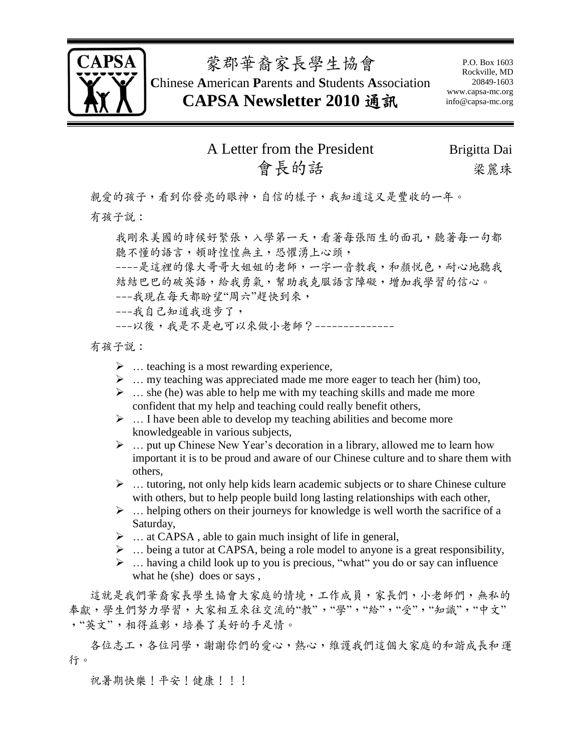

蒙郡華裔家長學生協會

**C**hinese **A**merican **P**arents and **S**tudents **A**ssociation **CAPSA Newsletter 2010** 通訊

P.O. Box 1603 Rockville, MD 20849-1603 www.capsa-mc.org info@capsa-mc.org

### A Letter from the President Brigitta Dai 會長的話 梁麗珠

親愛的孩子,看到你發亮的眼神,自信的樣子,我知道這又是豐收的一年。 有孩子說:

我剛來美國的時候好緊張,入學第一天,看著每張陌生的面孔,聽著每一句都 聽不懂的語言,頓時惶惶無主,恐懼湧上心頭, ----是這裡的像大哥哥大姐姐的老師,一字一音教我,和顏悅色,耐心地聽我

結結巴巴的破英語,給我勇氣,幫助我兊服語言障礙,增加我學習的信心。

---我現在每天都盼望"周六"趕快到來,

---我自己知道我進步了,

---以後,我是不是也可以來做小老師?--------------

有孩子說:

- $\triangleright$  ... teaching is a most rewarding experience,
- $\triangleright$  ... my teaching was appreciated made me more eager to teach her (him) too,
- $\triangleright$  ... she (he) was able to help me with my teaching skills and made me more confident that my help and teaching could really benefit others,
- $\triangleright$  ... I have been able to develop my teaching abilities and become more knowledgeable in various subjects,
- $\triangleright$  ... put up Chinese New Year's decoration in a library, allowed me to learn how important it is to be proud and aware of our Chinese culture and to share them with others,
- $\triangleright$  ... tutoring, not only help kids learn academic subjects or to share Chinese culture with others, but to help people build long lasting relationships with each other,
- $\triangleright$  ... helping others on their journeys for knowledge is well worth the sacrifice of a Saturday,
- $\triangleright$  ... at CAPSA, able to gain much insight of life in general,
- $\triangleright$  ... being a tutor at CAPSA, being a role model to anyone is a great responsibility,
- $\triangleright$  ... having a child look up to you is precious, "what" you do or say can influence what he (she) does or says ,

這就是我們華裔家長學生協會大家庭的情境,工作成員,家長們,小老師們,無私的 奉獻,學生們努力學習,大家相互來往交流的"教","學","給","受","知識","中文" ,"英文",相得益彰,培養了美好的手足情。

各位志工,各位同學,謝謝你們的愛心,熱心,維護我們這個大家庭的和諧成長和運 行。

祝暑期快樂!平安!健康!!!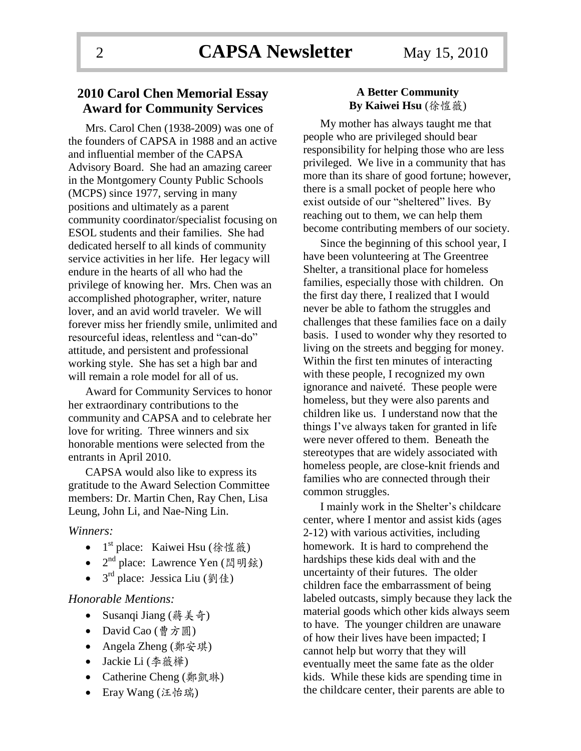### **2010 Carol Chen Memorial Essay Award for Community Services**

Mrs. Carol Chen (1938-2009) was one of the founders of CAPSA in 1988 and an active and influential member of the CAPSA Advisory Board. She had an amazing career in the Montgomery County Public Schools (MCPS) since 1977, serving in many positions and ultimately as a parent community coordinator/specialist focusing on ESOL students and their families. She had dedicated herself to all kinds of community service activities in her life. Her legacy will endure in the hearts of all who had the privilege of knowing her. Mrs. Chen was an accomplished photographer, writer, nature lover, and an avid world traveler. We will forever miss her friendly smile, unlimited and resourceful ideas, relentless and "can-do" attitude, and persistent and professional working style. She has set a high bar and will remain a role model for all of us.

Award for Community Services to honor her extraordinary contributions to the community and CAPSA and to celebrate her love for writing. Three winners and six honorable mentions were selected from the entrants in April 2010.

CAPSA would also like to express its gratitude to the Award Selection Committee members: Dr. Martin Chen, Ray Chen, Lisa Leung, John Li, and Nae-Ning Lin.

#### *Winners:*

- 1<sup>st</sup> place: Kaiwei Hsu (徐愷薇)
- $2<sup>nd</sup>$  place: Lawrence Yen (閏明鉉)
- $3<sup>rd</sup>$  place: Jessica Liu (劉佳)

#### *Honorable Mentions:*

- Susanqi Jiang (蔣美奇)
- David Cao (曹方圓)
- Angela Zheng (鄭安琪)
- Jackie Li (李薇樺)
- Catherine Cheng (鄭凱琳)
- Eray Wang (汪怡瑞)

### **A Better Community By Kaiwei Hsu** (徐愷薇)

My mother has always taught me that people who are privileged should bear responsibility for helping those who are less privileged. We live in a community that has more than its share of good fortune; however, there is a small pocket of people here who exist outside of our "sheltered" lives. By reaching out to them, we can help them become contributing members of our society.

Since the beginning of this school year, I have been volunteering at The Greentree Shelter, a transitional place for homeless families, especially those with children. On the first day there, I realized that I would never be able to fathom the struggles and challenges that these families face on a daily basis. I used to wonder why they resorted to living on the streets and begging for money. Within the first ten minutes of interacting with these people, I recognized my own ignorance and naiveté. These people were homeless, but they were also parents and children like us. I understand now that the things I've always taken for granted in life were never offered to them. Beneath the stereotypes that are widely associated with homeless people, are close-knit friends and families who are connected through their common struggles.

I mainly work in the Shelter's childcare center, where I mentor and assist kids (ages 2-12) with various activities, including homework. It is hard to comprehend the hardships these kids deal with and the uncertainty of their futures. The older children face the embarrassment of being labeled outcasts, simply because they lack the material goods which other kids always seem to have. The younger children are unaware of how their lives have been impacted; I cannot help but worry that they will eventually meet the same fate as the older kids. While these kids are spending time in the childcare center, their parents are able to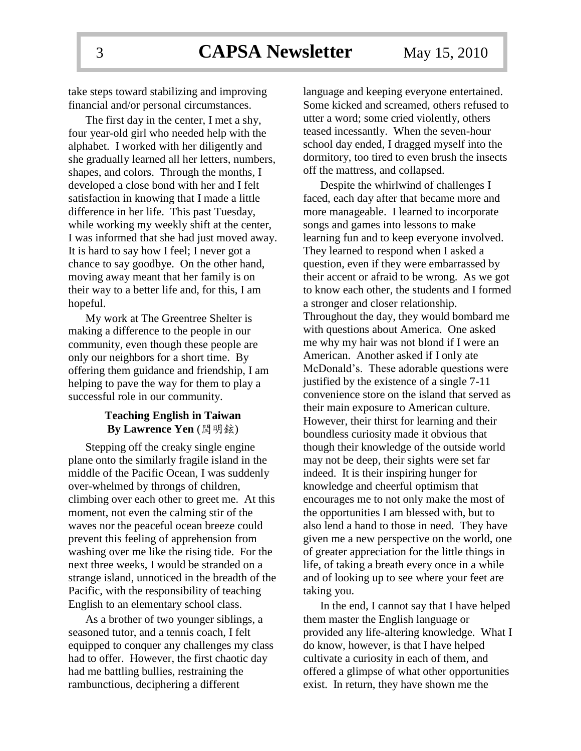take steps toward stabilizing and improving financial and/or personal circumstances.

The first day in the center, I met a shy, four year-old girl who needed help with the alphabet. I worked with her diligently and she gradually learned all her letters, numbers, shapes, and colors. Through the months, I developed a close bond with her and I felt satisfaction in knowing that I made a little difference in her life. This past Tuesday, while working my weekly shift at the center, I was informed that she had just moved away. It is hard to say how I feel; I never got a chance to say goodbye. On the other hand, moving away meant that her family is on their way to a better life and, for this, I am hopeful.

My work at The Greentree Shelter is making a difference to the people in our community, even though these people are only our neighbors for a short time. By offering them guidance and friendship, I am helping to pave the way for them to play a successful role in our community.

#### **Teaching English in Taiwan By Lawrence Yen** (閆明鉉)

Stepping off the creaky single engine plane onto the similarly fragile island in the middle of the Pacific Ocean, I was suddenly over-whelmed by throngs of children, climbing over each other to greet me. At this moment, not even the calming stir of the waves nor the peaceful ocean breeze could prevent this feeling of apprehension from washing over me like the rising tide. For the next three weeks, I would be stranded on a strange island, unnoticed in the breadth of the Pacific, with the responsibility of teaching English to an elementary school class.

As a brother of two younger siblings, a seasoned tutor, and a tennis coach, I felt equipped to conquer any challenges my class had to offer. However, the first chaotic day had me battling bullies, restraining the rambunctious, deciphering a different

language and keeping everyone entertained. Some kicked and screamed, others refused to utter a word; some cried violently, others teased incessantly. When the seven-hour school day ended, I dragged myself into the dormitory, too tired to even brush the insects off the mattress, and collapsed.

Despite the whirlwind of challenges I faced, each day after that became more and more manageable. I learned to incorporate songs and games into lessons to make learning fun and to keep everyone involved. They learned to respond when I asked a question, even if they were embarrassed by their accent or afraid to be wrong. As we got to know each other, the students and I formed a stronger and closer relationship. Throughout the day, they would bombard me with questions about America. One asked me why my hair was not blond if I were an American. Another asked if I only ate McDonald's. These adorable questions were justified by the existence of a single 7-11 convenience store on the island that served as their main exposure to American culture. However, their thirst for learning and their boundless curiosity made it obvious that though their knowledge of the outside world may not be deep, their sights were set far indeed. It is their inspiring hunger for knowledge and cheerful optimism that encourages me to not only make the most of the opportunities I am blessed with, but to also lend a hand to those in need. They have given me a new perspective on the world, one of greater appreciation for the little things in life, of taking a breath every once in a while and of looking up to see where your feet are taking you.

In the end, I cannot say that I have helped them master the English language or provided any life-altering knowledge. What I do know, however, is that I have helped cultivate a curiosity in each of them, and offered a glimpse of what other opportunities exist. In return, they have shown me the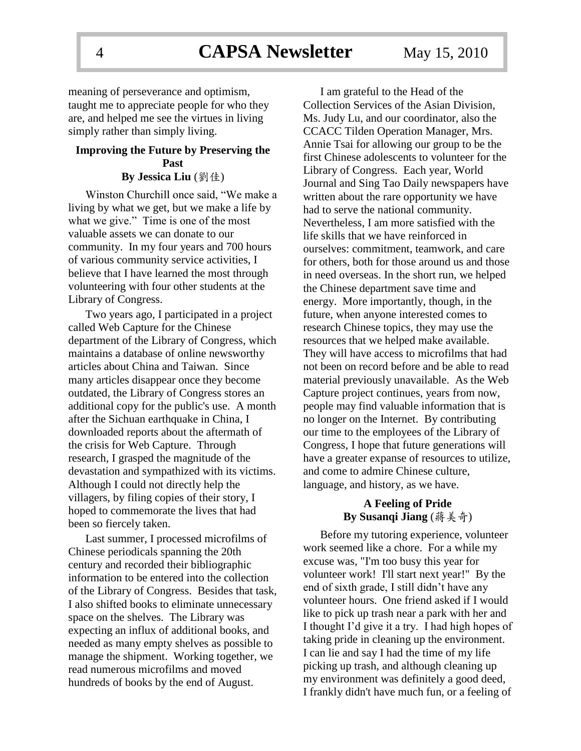meaning of perseverance and optimism, taught me to appreciate people for who they are, and helped me see the virtues in living simply rather than simply living.

### **Improving the Future by Preserving the Past By Jessica Liu** (劉佳)

Winston Churchill once said, "We make a living by what we get, but we make a life by what we give." Time is one of the most valuable assets we can donate to our community. In my four years and 700 hours of various community service activities, I believe that I have learned the most through volunteering with four other students at the Library of Congress.

Two years ago, I participated in a project called Web Capture for the Chinese department of the Library of Congress, which maintains a database of online newsworthy articles about China and Taiwan. Since many articles disappear once they become outdated, the Library of Congress stores an additional copy for the public's use. A month after the Sichuan earthquake in China, I downloaded reports about the aftermath of the crisis for Web Capture. Through research, I grasped the magnitude of the devastation and sympathized with its victims. Although I could not directly help the villagers, by filing copies of their story, I hoped to commemorate the lives that had been so fiercely taken.

Last summer, I processed microfilms of Chinese periodicals spanning the 20th century and recorded their bibliographic information to be entered into the collection of the Library of Congress. Besides that task, I also shifted books to eliminate unnecessary space on the shelves. The Library was expecting an influx of additional books, and needed as many empty shelves as possible to manage the shipment. Working together, we read numerous microfilms and moved hundreds of books by the end of August.

I am grateful to the Head of the Collection Services of the Asian Division, Ms. Judy Lu, and our coordinator, also the CCACC Tilden Operation Manager, Mrs. Annie Tsai for allowing our group to be the first Chinese adolescents to volunteer for the Library of Congress. Each year, World Journal and Sing Tao Daily newspapers have written about the rare opportunity we have had to serve the national community. Nevertheless, I am more satisfied with the life skills that we have reinforced in ourselves: commitment, teamwork, and care for others, both for those around us and those in need overseas. In the short run, we helped the Chinese department save time and energy. More importantly, though, in the future, when anyone interested comes to research Chinese topics, they may use the resources that we helped make available. They will have access to microfilms that had not been on record before and be able to read material previously unavailable. As the Web Capture project continues, years from now, people may find valuable information that is no longer on the Internet. By contributing our time to the employees of the Library of Congress, I hope that future generations will have a greater expanse of resources to utilize, and come to admire Chinese culture, language, and history, as we have.

### **A Feeling of Pride By Susanqi Jiang** (蔣美奇)

Before my tutoring experience, volunteer work seemed like a chore. For a while my excuse was, "I'm too busy this year for volunteer work! I'll start next year!" By the end of sixth grade, I still didn't have any volunteer hours. One friend asked if I would like to pick up trash near a park with her and I thought I'd give it a try. I had high hopes of taking pride in cleaning up the environment. I can lie and say I had the time of my life picking up trash, and although cleaning up my environment was definitely a good deed, I frankly didn't have much fun, or a feeling of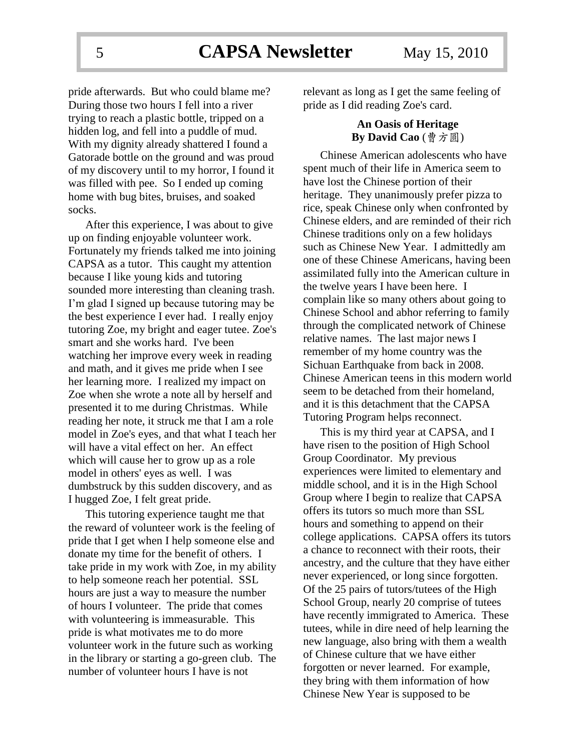pride afterwards. But who could blame me? During those two hours I fell into a river trying to reach a plastic bottle, tripped on a hidden log, and fell into a puddle of mud. With my dignity already shattered I found a Gatorade bottle on the ground and was proud of my discovery until to my horror, I found it was filled with pee. So I ended up coming home with bug bites, bruises, and soaked socks.

After this experience, I was about to give up on finding enjoyable volunteer work. Fortunately my friends talked me into joining CAPSA as a tutor. This caught my attention because I like young kids and tutoring sounded more interesting than cleaning trash. I'm glad I signed up because tutoring may be the best experience I ever had. I really enjoy tutoring Zoe, my bright and eager tutee. Zoe's smart and she works hard. I've been watching her improve every week in reading and math, and it gives me pride when I see her learning more. I realized my impact on Zoe when she wrote a note all by herself and presented it to me during Christmas. While reading her note, it struck me that I am a role model in Zoe's eyes, and that what I teach her will have a vital effect on her. An effect which will cause her to grow up as a role model in others' eyes as well. I was dumbstruck by this sudden discovery, and as I hugged Zoe, I felt great pride.

This tutoring experience taught me that the reward of volunteer work is the feeling of pride that I get when I help someone else and donate my time for the benefit of others. I take pride in my work with Zoe, in my ability to help someone reach her potential. SSL hours are just a way to measure the number of hours I volunteer. The pride that comes with volunteering is immeasurable. This pride is what motivates me to do more volunteer work in the future such as working in the library or starting a go-green club. The number of volunteer hours I have is not

relevant as long as I get the same feeling of pride as I did reading Zoe's card.

#### **An Oasis of Heritage By David Cao** (曹方圓)

Chinese American adolescents who have spent much of their life in America seem to have lost the Chinese portion of their heritage. They unanimously prefer pizza to rice, speak Chinese only when confronted by Chinese elders, and are reminded of their rich Chinese traditions only on a few holidays such as Chinese New Year. I admittedly am one of these Chinese Americans, having been assimilated fully into the American culture in the twelve years I have been here. I complain like so many others about going to Chinese School and abhor referring to family through the complicated network of Chinese relative names. The last major news I remember of my home country was the Sichuan Earthquake from back in 2008. Chinese American teens in this modern world seem to be detached from their homeland, and it is this detachment that the CAPSA Tutoring Program helps reconnect.

This is my third year at CAPSA, and I have risen to the position of High School Group Coordinator. My previous experiences were limited to elementary and middle school, and it is in the High School Group where I begin to realize that CAPSA offers its tutors so much more than SSL hours and something to append on their college applications. CAPSA offers its tutors a chance to reconnect with their roots, their ancestry, and the culture that they have either never experienced, or long since forgotten. Of the 25 pairs of tutors/tutees of the High School Group, nearly 20 comprise of tutees have recently immigrated to America. These tutees, while in dire need of help learning the new language, also bring with them a wealth of Chinese culture that we have either forgotten or never learned. For example, they bring with them information of how Chinese New Year is supposed to be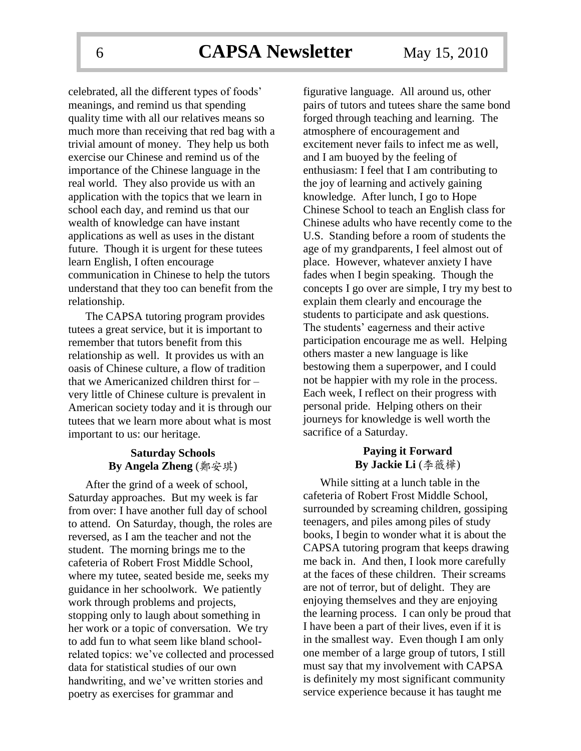celebrated, all the different types of foods' meanings, and remind us that spending quality time with all our relatives means so much more than receiving that red bag with a trivial amount of money. They help us both exercise our Chinese and remind us of the importance of the Chinese language in the real world. They also provide us with an application with the topics that we learn in school each day, and remind us that our wealth of knowledge can have instant applications as well as uses in the distant future. Though it is urgent for these tutees learn English, I often encourage communication in Chinese to help the tutors understand that they too can benefit from the relationship.

The CAPSA tutoring program provides tutees a great service, but it is important to remember that tutors benefit from this relationship as well. It provides us with an oasis of Chinese culture, a flow of tradition that we Americanized children thirst for – very little of Chinese culture is prevalent in American society today and it is through our tutees that we learn more about what is most important to us: our heritage.

### **Saturday Schools By Angela Zheng** (鄭安琪)

After the grind of a week of school, Saturday approaches. But my week is far from over: I have another full day of school to attend. On Saturday, though, the roles are reversed, as I am the teacher and not the student. The morning brings me to the cafeteria of Robert Frost Middle School, where my tutee, seated beside me, seeks my guidance in her schoolwork. We patiently work through problems and projects, stopping only to laugh about something in her work or a topic of conversation. We try to add fun to what seem like bland schoolrelated topics: we've collected and processed data for statistical studies of our own handwriting, and we've written stories and poetry as exercises for grammar and

figurative language. All around us, other pairs of tutors and tutees share the same bond forged through teaching and learning. The atmosphere of encouragement and excitement never fails to infect me as well, and I am buoyed by the feeling of enthusiasm: I feel that I am contributing to the joy of learning and actively gaining knowledge. After lunch, I go to Hope Chinese School to teach an English class for Chinese adults who have recently come to the U.S. Standing before a room of students the age of my grandparents, I feel almost out of place. However, whatever anxiety I have fades when I begin speaking. Though the concepts I go over are simple, I try my best to explain them clearly and encourage the students to participate and ask questions. The students' eagerness and their active participation encourage me as well. Helping others master a new language is like bestowing them a superpower, and I could not be happier with my role in the process. Each week, I reflect on their progress with personal pride. Helping others on their journeys for knowledge is well worth the sacrifice of a Saturday.

### **Paying it Forward By Jackie Li** (李薇樺)

While sitting at a lunch table in the cafeteria of Robert Frost Middle School, surrounded by screaming children, gossiping teenagers, and piles among piles of study books, I begin to wonder what it is about the CAPSA tutoring program that keeps drawing me back in. And then, I look more carefully at the faces of these children. Their screams are not of terror, but of delight. They are enjoying themselves and they are enjoying the learning process. I can only be proud that I have been a part of their lives, even if it is in the smallest way. Even though I am only one member of a large group of tutors, I still must say that my involvement with CAPSA is definitely my most significant community service experience because it has taught me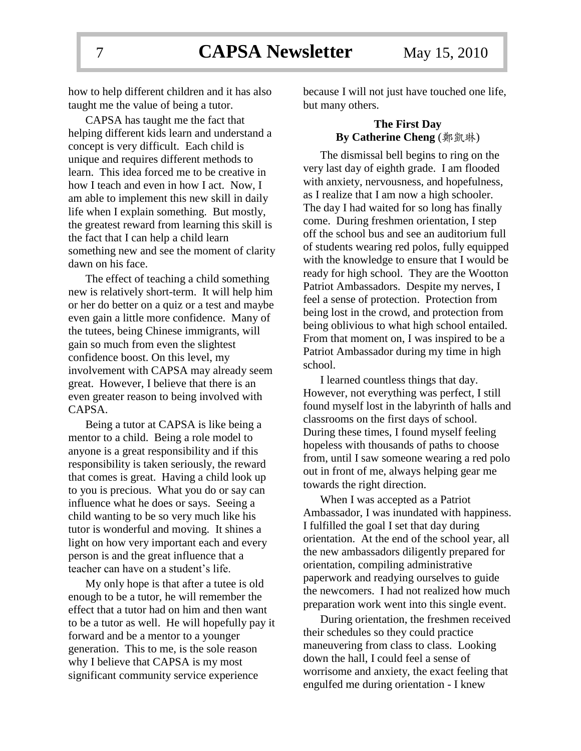7 **CAPSA Newsletter** May 15, 2010

how to help different children and it has also taught me the value of being a tutor.

CAPSA has taught me the fact that helping different kids learn and understand a concept is very difficult. Each child is unique and requires different methods to learn. This idea forced me to be creative in how I teach and even in how I act. Now, I am able to implement this new skill in daily life when I explain something. But mostly, the greatest reward from learning this skill is the fact that I can help a child learn something new and see the moment of clarity dawn on his face.

The effect of teaching a child something new is relatively short-term. It will help him or her do better on a quiz or a test and maybe even gain a little more confidence. Many of the tutees, being Chinese immigrants, will gain so much from even the slightest confidence boost. On this level, my involvement with CAPSA may already seem great. However, I believe that there is an even greater reason to being involved with CAPSA.

Being a tutor at CAPSA is like being a mentor to a child. Being a role model to anyone is a great responsibility and if this responsibility is taken seriously, the reward that comes is great. Having a child look up to you is precious. What you do or say can influence what he does or says. Seeing a child wanting to be so very much like his tutor is wonderful and moving. It shines a light on how very important each and every person is and the great influence that a teacher can have on a student's life.

My only hope is that after a tutee is old enough to be a tutor, he will remember the effect that a tutor had on him and then want to be a tutor as well. He will hopefully pay it forward and be a mentor to a younger generation. This to me, is the sole reason why I believe that CAPSA is my most significant community service experience

because I will not just have touched one life, but many others.

### **The First Day By Catherine Cheng** (鄭凱琳)

The dismissal bell begins to ring on the very last day of eighth grade. I am flooded with anxiety, nervousness, and hopefulness, as I realize that I am now a high schooler. The day I had waited for so long has finally come. During freshmen orientation, I step off the school bus and see an auditorium full of students wearing red polos, fully equipped with the knowledge to ensure that I would be ready for high school. They are the Wootton Patriot Ambassadors. Despite my nerves, I feel a sense of protection. Protection from being lost in the crowd, and protection from being oblivious to what high school entailed. From that moment on, I was inspired to be a Patriot Ambassador during my time in high school.

I learned countless things that day. However, not everything was perfect, I still found myself lost in the labyrinth of halls and classrooms on the first days of school. During these times, I found myself feeling hopeless with thousands of paths to choose from, until I saw someone wearing a red polo out in front of me, always helping gear me towards the right direction.

When I was accepted as a Patriot Ambassador, I was inundated with happiness. I fulfilled the goal I set that day during orientation. At the end of the school year, all the new ambassadors diligently prepared for orientation, compiling administrative paperwork and readying ourselves to guide the newcomers. I had not realized how much preparation work went into this single event.

During orientation, the freshmen received their schedules so they could practice maneuvering from class to class. Looking down the hall, I could feel a sense of worrisome and anxiety, the exact feeling that engulfed me during orientation - I knew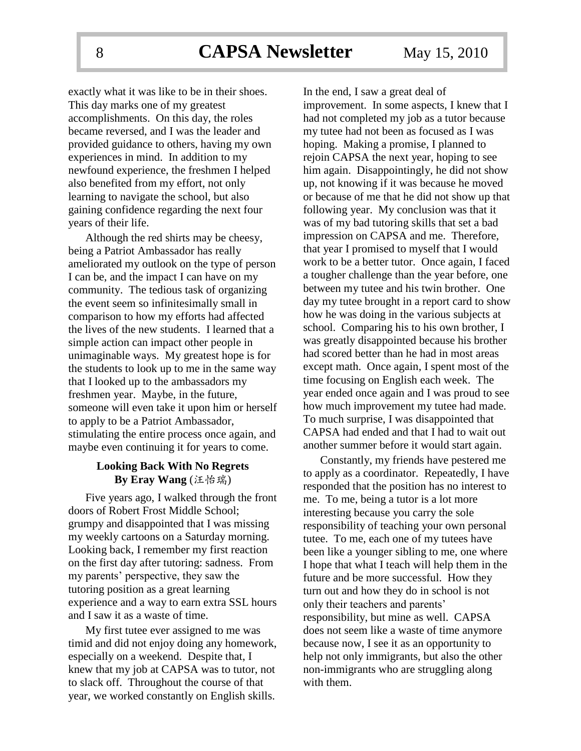exactly what it was like to be in their shoes. This day marks one of my greatest accomplishments. On this day, the roles became reversed, and I was the leader and provided guidance to others, having my own experiences in mind. In addition to my newfound experience, the freshmen I helped also benefited from my effort, not only learning to navigate the school, but also gaining confidence regarding the next four years of their life.

Although the red shirts may be cheesy, being a Patriot Ambassador has really ameliorated my outlook on the type of person I can be, and the impact I can have on my community. The tedious task of organizing the event seem so infinitesimally small in comparison to how my efforts had affected the lives of the new students. I learned that a simple action can impact other people in unimaginable ways. My greatest hope is for the students to look up to me in the same way that I looked up to the ambassadors my freshmen year. Maybe, in the future, someone will even take it upon him or herself to apply to be a Patriot Ambassador, stimulating the entire process once again, and maybe even continuing it for years to come.

#### **Looking Back With No Regrets By Eray Wang** (汪怡瑞)

Five years ago, I walked through the front doors of Robert Frost Middle School; grumpy and disappointed that I was missing my weekly cartoons on a Saturday morning. Looking back, I remember my first reaction on the first day after tutoring: sadness. From my parents' perspective, they saw the tutoring position as a great learning experience and a way to earn extra SSL hours and I saw it as a waste of time.

My first tutee ever assigned to me was timid and did not enjoy doing any homework, especially on a weekend. Despite that, I knew that my job at CAPSA was to tutor, not to slack off. Throughout the course of that year, we worked constantly on English skills.

In the end, I saw a great deal of improvement. In some aspects, I knew that I had not completed my job as a tutor because my tutee had not been as focused as I was hoping. Making a promise, I planned to rejoin CAPSA the next year, hoping to see him again. Disappointingly, he did not show up, not knowing if it was because he moved or because of me that he did not show up that following year. My conclusion was that it was of my bad tutoring skills that set a bad impression on CAPSA and me. Therefore, that year I promised to myself that I would work to be a better tutor. Once again, I faced a tougher challenge than the year before, one between my tutee and his twin brother. One day my tutee brought in a report card to show how he was doing in the various subjects at school. Comparing his to his own brother, I was greatly disappointed because his brother had scored better than he had in most areas except math. Once again, I spent most of the time focusing on English each week. The year ended once again and I was proud to see how much improvement my tutee had made. To much surprise, I was disappointed that CAPSA had ended and that I had to wait out another summer before it would start again.

Constantly, my friends have pestered me to apply as a coordinator. Repeatedly, I have responded that the position has no interest to me. To me, being a tutor is a lot more interesting because you carry the sole responsibility of teaching your own personal tutee. To me, each one of my tutees have been like a younger sibling to me, one where I hope that what I teach will help them in the future and be more successful. How they turn out and how they do in school is not only their teachers and parents' responsibility, but mine as well. CAPSA does not seem like a waste of time anymore because now, I see it as an opportunity to help not only immigrants, but also the other non-immigrants who are struggling along with them.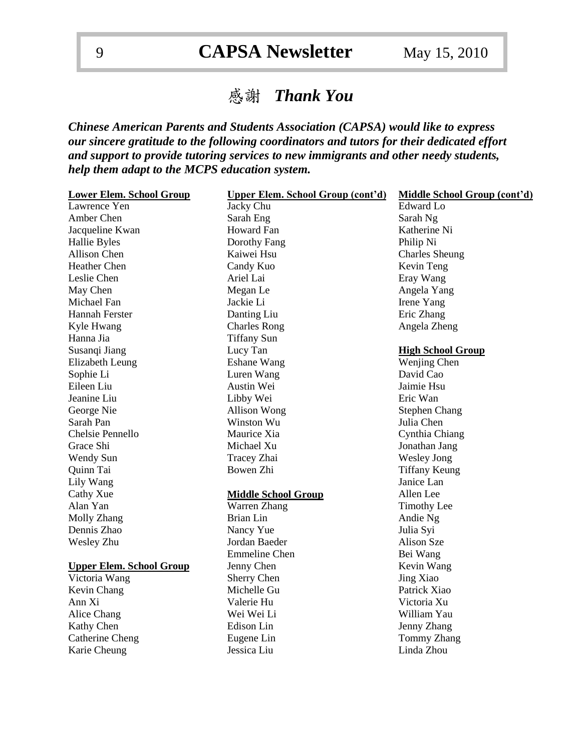# 感謝 *Thank You*

*Chinese American Parents and Students Association (CAPSA) would like to express our sincere gratitude to the following coordinators and tutors for their dedicated effort and support to provide tutoring services to new immigrants and other needy students, help them adapt to the MCPS education system.*

| <b>Lower Elem. School Group</b> | <b>Upper Elem. School Group (cont'd)</b> | Middle School Group (cont'd) |
|---------------------------------|------------------------------------------|------------------------------|
| Lawrence Yen                    | Jacky Chu                                | <b>Edward</b> Lo             |
| Amber Chen                      | Sarah Eng                                | Sarah Ng                     |
| Jacqueline Kwan                 | Howard Fan                               | Katherine Ni                 |
| Hallie Byles                    | Dorothy Fang                             | Philip Ni                    |
| Allison Chen                    | Kaiwei Hsu                               | <b>Charles Sheung</b>        |
| <b>Heather Chen</b>             | Candy Kuo                                | Kevin Teng                   |
| Leslie Chen                     | Ariel Lai                                | Eray Wang                    |
| May Chen                        | Megan Le                                 | Angela Yang                  |
| Michael Fan                     | Jackie Li                                | Irene Yang                   |
| <b>Hannah Ferster</b>           | Danting Liu                              | Eric Zhang                   |
| Kyle Hwang                      | <b>Charles Rong</b>                      | Angela Zheng                 |
| Hanna Jia                       | <b>Tiffany Sun</b>                       |                              |
| Susanqi Jiang                   | Lucy Tan                                 | <b>High School Group</b>     |
| Elizabeth Leung                 | <b>Eshane Wang</b>                       | Wenjing Chen                 |
| Sophie Li                       | Luren Wang                               | David Cao                    |
| Eileen Liu                      | Austin Wei                               | Jaimie Hsu                   |
| Jeanine Liu                     | Libby Wei                                | Eric Wan                     |
| George Nie                      | Allison Wong                             | <b>Stephen Chang</b>         |
| Sarah Pan                       | Winston Wu                               | Julia Chen                   |
| Chelsie Pennello                | Maurice Xia                              | Cynthia Chiang               |
| Grace Shi                       | Michael Xu                               | Jonathan Jang                |
| Wendy Sun                       | Tracey Zhai                              | <b>Wesley Jong</b>           |
| Quinn Tai                       | Bowen Zhi                                | <b>Tiffany Keung</b>         |
| Lily Wang                       |                                          | Janice Lan                   |
| Cathy Xue                       | <b>Middle School Group</b>               | Allen Lee                    |
| Alan Yan                        | Warren Zhang                             | <b>Timothy Lee</b>           |
| Molly Zhang                     | <b>Brian Lin</b>                         | Andie Ng                     |
| Dennis Zhao                     | Nancy Yue                                | Julia Syi                    |
| Wesley Zhu                      | Jordan Baeder                            | Alison Sze                   |
|                                 | <b>Emmeline Chen</b>                     | Bei Wang                     |
| <b>Upper Elem. School Group</b> | Jenny Chen                               | Kevin Wang                   |
| Victoria Wang                   | Sherry Chen                              | Jing Xiao                    |
| Kevin Chang                     | Michelle Gu                              | Patrick Xiao                 |
| Ann Xi                          | Valerie Hu                               | Victoria Xu                  |
| Alice Chang                     | Wei Wei Li                               | William Yau                  |
| Kathy Chen                      | Edison Lin                               | Jenny Zhang                  |
| Catherine Cheng                 | Eugene Lin                               | <b>Tommy Zhang</b>           |
| Karie Cheung                    | Jessica Liu                              | Linda Zhou                   |
|                                 |                                          |                              |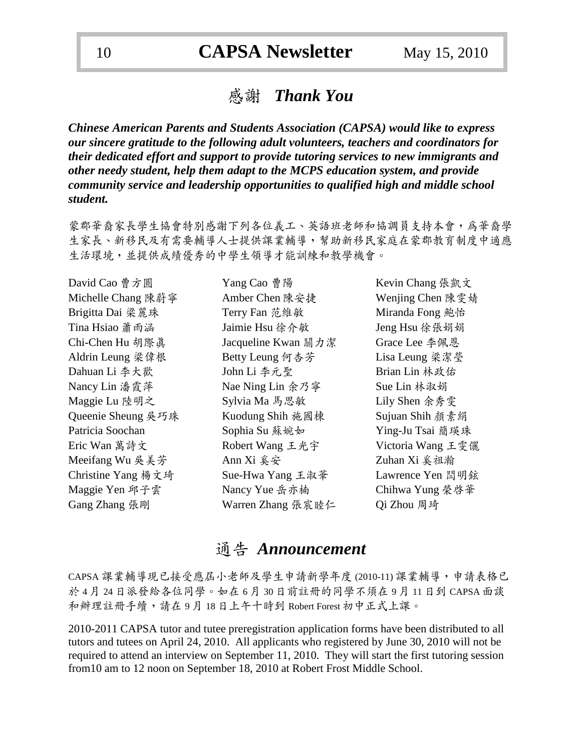### 感謝*Thank You*

*Chinese American Parents and Students Association (CAPSA) would like to express our sincere gratitude to the following adult volunteers, teachers and coordinators for their dedicated effort and support to provide tutoring services to new immigrants and other needy student, help them adapt to the MCPS education system, and provide community service and leadership opportunities to qualified high and middle school student.*

蒙郡華裔家長學生協會特別感謝下列各位義工、英語班老師和協調員支持本會,為華裔學 生家長、新移民及有需要輔導人士提供課業輔導,幫助新移民家庭在蒙郡教育制度中適應 生活環境,並提供成績優秀的中學生領導才能訓練和教學機會。

| David Cao 曹方圓      | Yang Cao 曹陽         | Kevin Chang 張凱文   |
|--------------------|---------------------|-------------------|
| Michelle Chang 陳蔚寧 | Amber Chen 陳安捷      | Wenjing Chen 陳雯婧  |
| Brigitta Dai 梁麗珠   | Terry Fan 范維敏       | Miranda Fong 鮑怡   |
| Tina Hsiao 蕭雨涵     | Jaimie Hsu 徐介敏      | Jeng Hsu 徐張娟娟     |
| Chi-Chen Hu 胡際真    | Jacqueline Kwan 關力潔 | Grace Lee 李佩恩     |
| Aldrin Leung 梁偉根   | Betty Leung 何杏芳     | Lisa Leung 梁潔瑩    |
| Dahuan Li 李大歡      | John Li 李元聖         | Brian Lin 林政佑     |
| Nancy Lin 潘霞萍      | Nae Ning Lin 余乃寧    | Sue Lin 林淑娟       |
| Maggie Lu 陸明之      | Sylvia Ma 馬思敏       | Lily Shen 余秀雯     |
| Queenie Sheung 吳巧珠 | Kuodung Shih 施國棟    | Sujuan Shih 顏素絹   |
| Patricia Soochan   | Sophia Su 蘇婉如       | Ying-Ju Tsai 簡瑛珠  |
| Eric Wan 萬詩文       | Robert Wang 王光宇     | Victoria Wang 王雯儷 |
| Meeifang Wu 吳美芳    | Ann Xi 奚安           | Zuhan Xi 奚祖瀚      |
| Christine Yang 楊文琦 | Sue-Hwa Yang 王淑華    | Lawrence Yen 閆明鉉  |
| Maggie Yen 邱子雲     | Nancy Yue 岳亦楠       | Chihwa Yung 榮啓華   |
| Gang Zhang 張剛      | Warren Zhang 張宸睦仁   | Qi Zhou 周琦        |

### 通告 *Announcement*

CAPSA 課業輔導現已接受應屆小老師及學生申請新學年度 (2010-11) 課業輔導,申請表格已 於 4 月 24 日派發給各位同學。如在 6 月 30 日前註冊的同學不須在 9 月 11 日到 CAPSA面談 和辦理註冊手續,請在 9 月 18 日上午十時到 Robert Forest 初中正式上課。

2010-2011 CAPSA tutor and tutee preregistration application forms have been distributed to all tutors and tutees on April 24, 2010. All applicants who registered by June 30, 2010 will not be required to attend an interview on September 11, 2010. They will start the first tutoring session from10 am to 12 noon on September 18, 2010 at Robert Frost Middle School.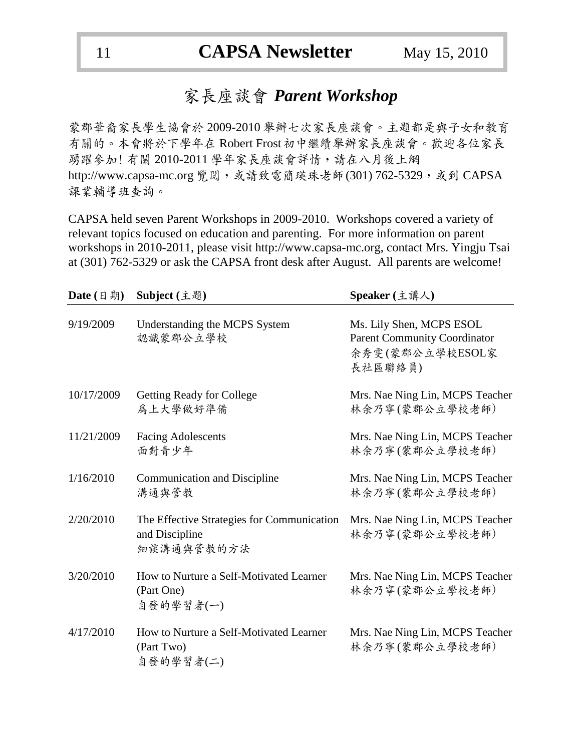## 家長座談會 *Parent Workshop*

蒙郡華裔家長學生協會於 2009-2010 舉辦七次家長座談會。主題都是與子女和教育 有關的。本會將於下學年在 Robert Frost初中繼續舉辦家長座談會。歡迎各位家長 踴躍參加! 有關 2010-2011 學年家長座談會詳情,請在八月後上網 http://www.capsa-mc.org 覽閱,或請致電簡瑛珠老師(301) 762-5329,或到 CAPSA 課業輔導班查詢。

CAPSA held seven Parent Workshops in 2009-2010. Workshops covered a variety of relevant topics focused on education and parenting. For more information on parent workshops in 2010-2011, please visit http://www.capsa-mc.org, contact Mrs. Yingju Tsai at (301) 762-5329 or ask the CAPSA front desk after August. All parents are welcome!

| Date $(\Box \, \ddot{\mathfrak{H}})$ | Subject (主題)                                                               | Speaker (主講人)                                                                                 |
|--------------------------------------|----------------------------------------------------------------------------|-----------------------------------------------------------------------------------------------|
| 9/19/2009                            | Understanding the MCPS System<br>認識蒙郡公立學校                                  | Ms. Lily Shen, MCPS ESOL<br><b>Parent Community Coordinator</b><br>余秀雯(蒙郡公立學校ESOL家<br>長社區聯絡員) |
| 10/17/2009                           | <b>Getting Ready for College</b><br>為上大學做好準備                               | Mrs. Nae Ning Lin, MCPS Teacher<br>林余乃寧(蒙郡公立學校老師)                                             |
| 11/21/2009                           | <b>Facing Adolescents</b><br>面對青少年                                         | Mrs. Nae Ning Lin, MCPS Teacher<br>林余乃寧(蒙郡公立學校老師)                                             |
| 1/16/2010                            | Communication and Discipline<br>溝通與管教                                      | Mrs. Nae Ning Lin, MCPS Teacher<br>林余乃寧(蒙郡公立學校老師)                                             |
| 2/20/2010                            | The Effective Strategies for Communication<br>and Discipline<br>細談溝通與管教的方法 | Mrs. Nae Ning Lin, MCPS Teacher<br>林余乃寧(蒙郡公立學校老師)                                             |
| 3/20/2010                            | How to Nurture a Self-Motivated Learner<br>(Part One)<br>自發的學習者(一)         | Mrs. Nae Ning Lin, MCPS Teacher<br>林余乃寧(蒙郡公立學校老師)                                             |
| 4/17/2010                            | How to Nurture a Self-Motivated Learner<br>(Part Two)<br>自發的學習者(二)         | Mrs. Nae Ning Lin, MCPS Teacher<br>林余乃寧(蒙郡公立學校老師)                                             |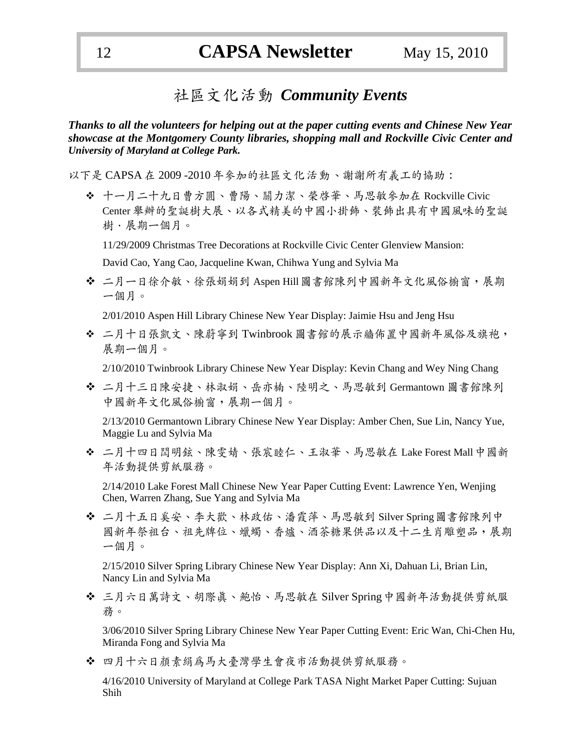### 社區文化活動 *Community Events*

*Thanks to all the volunteers for helping out at the paper cutting events and Chinese New Year showcase at the Montgomery County libraries, shopping mall and Rockville Civic Center and University of Maryland at College Park.*

以下是 CAPSA 在 2009 -2010 年參加的社區文化活動、謝謝所有義工的協助:

 十一月二十九日曹方圓、曹陽、關力潔、榮啟華、馬思敏參加在 Rockville Civic Center 舉辦的聖誕樹大展、以各式精美的中國小掛飾、裝飾出具有中國風味的聖誕 樹.展期一個月。

11/29/2009 Christmas Tree Decorations at Rockville Civic Center Glenview Mansion:

David Cao, Yang Cao, Jacqueline Kwan, Chihwa Yung and Sylvia Ma

◆ 二月一日徐介敏、徐張娟娟到 Aspen Hill圖書館陳列中國新年文化風俗櫥窗,展期 一個月。

2/01/2010 Aspen Hill Library Chinese New Year Display: Jaimie Hsu and Jeng Hsu

 二月十日張凱文、陳蔚寧到 Twinbrook 圖書館的展示牆佈置中國新年風俗及旗袍, 展期一個月。

2/10/2010 Twinbrook Library Chinese New Year Display: Kevin Chang and Wey Ning Chang

 二月十三日陳安捷、林淑娟、岳亦楠、陸明之、馬思敏到 Germantown 圖書館陳列 中國新年文化風俗櫥窗,展期一個月。

2/13/2010 Germantown Library Chinese New Year Display: Amber Chen, Sue Lin, Nancy Yue, Maggie Lu and Sylvia Ma

 二月十四日閆明鉉、陳雯婧、張宸睦仁、王淑華、馬思敏在 Lake Forest Mall中國新 年活動提供剪紙服務。

2/14/2010 Lake Forest Mall Chinese New Year Paper Cutting Event: Lawrence Yen, Wenjing Chen, Warren Zhang, Sue Yang and Sylvia Ma

 二月十五日奚安、李大歡、林政佑、潘霞萍、馬思敏到 Silver Spring圖書館陳列中 國新年祭祖台、祖先牌位、蠟蠋、香爐、酒茶糖果供品以及十二生肖雕塑品,展期 一個月。

2/15/2010 Silver Spring Library Chinese New Year Display: Ann Xi, Dahuan Li, Brian Lin, Nancy Lin and Sylvia Ma

 三月六日萬詩文、胡際真、鮑怡、馬思敏在 Silver Spring中國新年活動提供剪紙服 務。

3/06/2010 Silver Spring Library Chinese New Year Paper Cutting Event: Eric Wan, Chi-Chen Hu, Miranda Fong and Sylvia Ma

四月十六日顏素絹為馬大臺灣學生會夜巿活動提供剪紙服務。

4/16/2010 University of Maryland at College Park TASA Night Market Paper Cutting: Sujuan Shih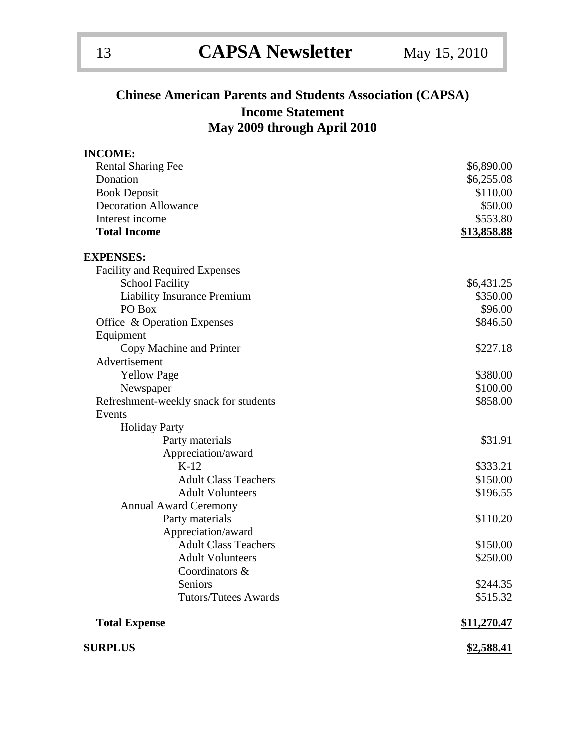### **Chinese American Parents and Students Association (CAPSA) Income Statement May 2009 through April 2010**

| <b>INCOME:</b>                        |                    |
|---------------------------------------|--------------------|
| <b>Rental Sharing Fee</b>             | \$6,890.00         |
| Donation                              | \$6,255.08         |
| <b>Book Deposit</b>                   | \$110.00           |
| <b>Decoration Allowance</b>           | \$50.00            |
| Interest income                       | \$553.80           |
| <b>Total Income</b>                   | <u>\$13,858.88</u> |
| <b>EXPENSES:</b>                      |                    |
| <b>Facility and Required Expenses</b> |                    |
| <b>School Facility</b>                | \$6,431.25         |
| <b>Liability Insurance Premium</b>    | \$350.00           |
| PO Box                                | \$96.00            |
| Office & Operation Expenses           | \$846.50           |
| Equipment                             |                    |
| Copy Machine and Printer              | \$227.18           |
| Advertisement                         |                    |
| <b>Yellow Page</b>                    | \$380.00           |
| Newspaper                             | \$100.00           |
| Refreshment-weekly snack for students | \$858.00           |
| Events                                |                    |
| <b>Holiday Party</b>                  |                    |
| Party materials                       | \$31.91            |
| Appreciation/award                    |                    |
| $K-12$                                | \$333.21           |
| <b>Adult Class Teachers</b>           | \$150.00           |
| <b>Adult Volunteers</b>               | \$196.55           |
| <b>Annual Award Ceremony</b>          |                    |
| Party materials                       | \$110.20           |
| Appreciation/award                    |                    |
| <b>Adult Class Teachers</b>           | \$150.00           |
| <b>Adult Volunteers</b>               | \$250.00           |
| Coordinators &                        |                    |
| Seniors                               | \$244.35           |
| <b>Tutors/Tutees Awards</b>           | \$515.32           |
| <b>Total Expense</b>                  | \$11,270.47        |
| <b>SURPLUS</b>                        | <u>\$2,588.41</u>  |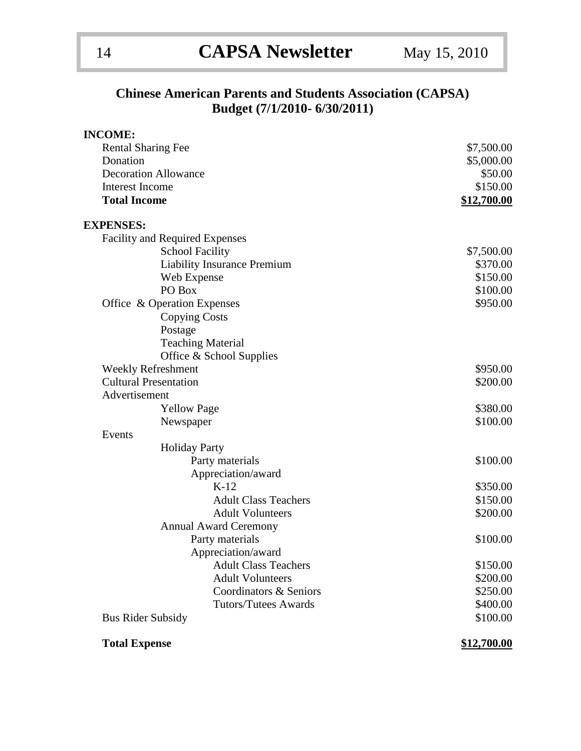### **Chinese American Parents and Students Association (CAPSA) Budget (7/1/2010- 6/30/2011)**

| <b>INCOME:</b>       |                                       |                    |
|----------------------|---------------------------------------|--------------------|
|                      | <b>Rental Sharing Fee</b>             | \$7,500.00         |
| Donation             |                                       | \$5,000.00         |
|                      | <b>Decoration Allowance</b>           | \$50.00            |
| Interest Income      |                                       | \$150.00           |
| <b>Total Income</b>  |                                       | <u>\$12,700.00</u> |
| <b>EXPENSES:</b>     |                                       |                    |
|                      | <b>Facility and Required Expenses</b> |                    |
|                      | <b>School Facility</b>                | \$7,500.00         |
|                      | <b>Liability Insurance Premium</b>    | \$370.00           |
|                      | Web Expense                           | \$150.00           |
|                      | PO Box                                | \$100.00           |
|                      | Office & Operation Expenses           | \$950.00           |
|                      | <b>Copying Costs</b>                  |                    |
|                      | Postage                               |                    |
|                      | <b>Teaching Material</b>              |                    |
|                      | Office & School Supplies              |                    |
|                      | <b>Weekly Refreshment</b>             | \$950.00           |
|                      | <b>Cultural Presentation</b>          | \$200.00           |
| Advertisement        |                                       |                    |
|                      | <b>Yellow Page</b>                    | \$380.00           |
|                      | Newspaper                             | \$100.00           |
| Events               |                                       |                    |
|                      | <b>Holiday Party</b>                  |                    |
|                      | Party materials                       | \$100.00           |
|                      | Appreciation/award                    |                    |
|                      | $K-12$                                | \$350.00           |
|                      | <b>Adult Class Teachers</b>           | \$150.00           |
|                      | <b>Adult Volunteers</b>               | \$200.00           |
|                      | <b>Annual Award Ceremony</b>          |                    |
|                      | Party materials                       | \$100.00           |
|                      | Appreciation/award                    |                    |
|                      | <b>Adult Class Teachers</b>           | \$150.00           |
|                      | <b>Adult Volunteers</b>               | \$200.00           |
|                      | Coordinators & Seniors                | \$250.00           |
|                      | <b>Tutors/Tutees Awards</b>           | \$400.00           |
|                      | <b>Bus Rider Subsidy</b>              | \$100.00           |
| <b>Total Expense</b> |                                       | \$12,700.00        |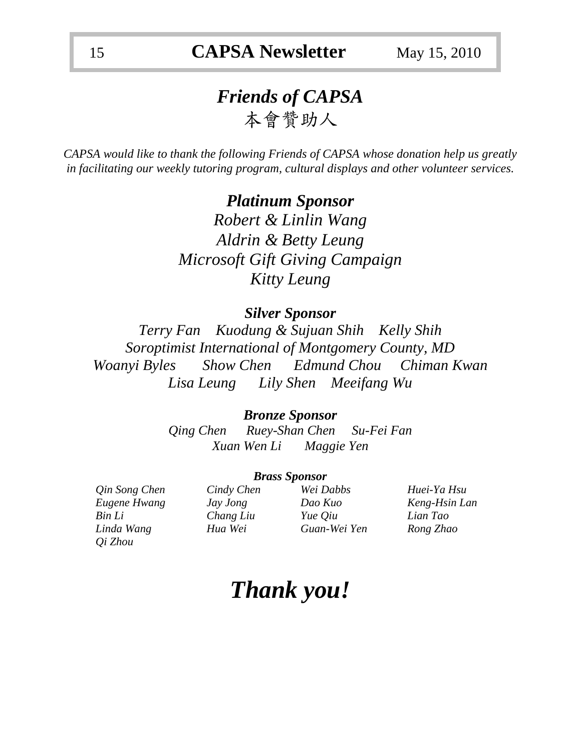# *Friends of CAPSA*  本會贊助人

*CAPSA would like to thank the following Friends of CAPSA whose donation help us greatly in facilitating our weekly tutoring program, cultural displays and other volunteer services.* 

> *Platinum Sponsor Robert & Linlin Wang Aldrin & Betty Leung Microsoft Gift Giving Campaign Kitty Leung*

### *Silver Sponsor*

*Terry Fan Kuodung & Sujuan Shih Kelly Shih Soroptimist International of Montgomery County, MD Woanyi Byles Show Chen Edmund Chou Chiman Kwan Lisa Leung Lily Shen Meeifang Wu*

### *Bronze Sponsor*

*Qing Chen Ruey-Shan Chen Su-Fei Fan Xuan Wen Li Maggie Yen*

### *Brass Sponsor*

*Eugene Hwang Jay Jong Dao Kuo Keng-Hsin Lan Bin Li Chang Liu Yue Qiu Lian Tao Linda Wang Hua Wei Guan-Wei Yen Rong Zhao Qi Zhou*

| Cindy Chen |
|------------|
| Jay Jong   |
| Chang Liu  |
| Hua Wei    |

*Qin Song Chen Cindy Chen Wei Dabbs Huei-Ya Hsu*

# *Thank you!*